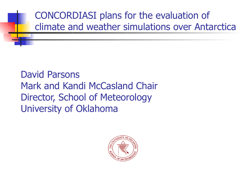CONCORDIASI plans for the evaluation of climate and weather simulations over Antarctica

David Parsons Mark and Kandi McCasland Chair Director, School of Meteorology University of Oklahoma

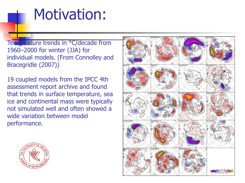# Motivation:

Temperature trends in °C/decade from 1960–2000 for winter (JJA) for individual models. (From Connolley and Bracegridle (2007))

19 coupled models from the IPCC 4th assessment report archive and found that trends in surface temperature, sea ice and continental mass were typically not simulated well and often showed a wide variation between model performance.



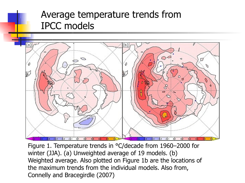#### Average temperature trends from IPCC models



Figure 1. Temperature trends in °C/decade from 1960–2000 for winter (JJA). (a) Unweighted average of 19 models. (b) Weighted average. Also plotted on Figure 1b are the locations of the maximum trends from the individual models. Also from, Connelly and Bracegirdle (2007)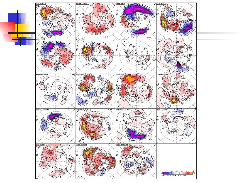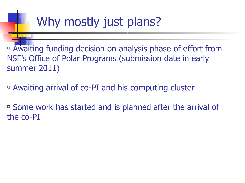## Why mostly just plans?

□ Awaiting funding decision on analysis phase of effort from NSF's Office of Polar Programs (submission date in early summer 2011)

<sup>q</sup> Awaiting arrival of co-PI and his computing cluster

<sup>q</sup> Some work has started and is planned after the arrival of the co-PI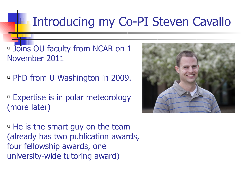## Introducing my Co-PI Steven Cavallo

- □ Joins OU faculty from NCAR on 1 November 2011
- <sup>q</sup> PhD from U Washington in 2009.
- □ Expertise is in polar meteorology (more later)
- <sup>o</sup> He is the smart guy on the team (already has two publication awards, four fellowship awards, one university-wide tutoring award)

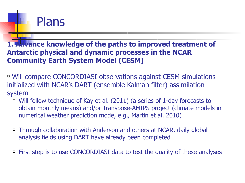Plans

**1. Advance knowledge of the paths to improved treatment of Antarctic physical and dynamic processes in the NCAR Community Earth System Model (CESM)**

<sup>q</sup> Will compare CONCORDIASI observations against CESM simulations initialized with NCAR's DART (ensemble Kalman filter) assimilation system

- □ Will follow technique of Kay et al. (2011) (a series of 1-day forecasts to obtain monthly means) and/or Transpose-AMIPS project (climate models in numerical weather prediction mode, e.g., Martin et al. 2010)
- □ Through collaboration with Anderson and others at NCAR, daily global analysis fields using DART have already been completed
- First step is to use CONCORDIASI data to test the quality of these analyses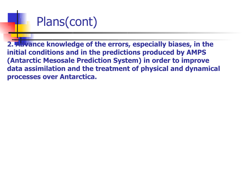

**2. Advance knowledge of the errors, especially biases, in the initial conditions and in the predictions produced by AMPS (Antarctic Mesosale Prediction System) in order to improve data assimilation and the treatment of physical and dynamical processes over Antarctica.**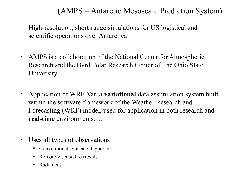#### (AMPS = Antarctic Mesoscale Prediction System)

- § High-resolution, short-range simulations for US logistical and scientific operations over Antarctica
- § AMPS is a collaboration of the National Center for Atmospheric Research and the Byrd Polar Research Center of The Ohio State University
- § Application of WRF-Var, a **variational** data assimilation system built within the software framework of the Weather Research and Forecasting (WRF) model, used for application in both research and **real-time** environments….
- § Uses all types of observations
	- § Conventional: Surface ,Upper air
	- § Remotely sensed retrievals
	- § Radiances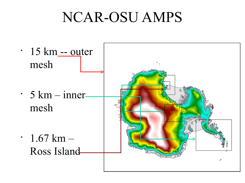# NCAR-OSU AMPS

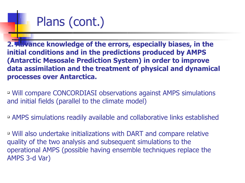#### Plans (cont.)

**2. Advance knowledge of the errors, especially biases, in the initial conditions and in the predictions produced by AMPS (Antarctic Mesosale Prediction System) in order to improve data assimilation and the treatment of physical and dynamical processes over Antarctica.** 

<sup>q</sup> Will compare CONCORDIASI observations against AMPS simulations and initial fields (parallel to the climate model)

<sup>q</sup> AMPS simulations readily available and collaborative links established

<sup>q</sup> Will also undertake initializations with DART and compare relative quality of the two analysis and subsequent simulations to the operational AMPS (possible having ensemble techniques replace the AMPS 3-d Var)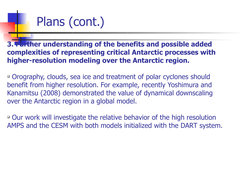

**3. Further understanding of the benefits and possible added complexities of representing critical Antarctic processes with higher-resolution modeling over the Antarctic region.**

<sup>q</sup> Orography, clouds, sea ice and treatment of polar cyclones should benefit from higher resolution. For example, recently Yoshimura and Kanamitsu (2008) demonstrated the value of dynamical downscaling over the Antarctic region in a global model.

<sup>q</sup> Our work will investigate the relative behavior of the high resolution AMPS and the CESM with both models initialized with the DART system.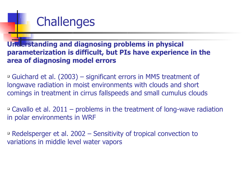

**Understanding and diagnosing problems in physical parameterization is difficult, but PIs have experience in the area of diagnosing model errors**

 $\Box$  Guichard et al. (2003) – significant errors in MM5 treatment of longwave radiation in moist environments with clouds and short comings in treatment in cirrus fallspeeds and small cumulus clouds

 $\alpha$  Cavallo et al. 2011 – problems in the treatment of long-wave radiation in polar environments in WRF

<sup>q</sup> Redelsperger et al. 2002 – Sensitivity of tropical convection to variations in middle level water vapors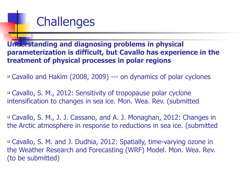

**Understanding and diagnosing problems in physical parameterization is difficult, but Cavallo has experience in the treatment of physical processes in polar regions**

<sup>q</sup> Cavallo and Hakim (2008, 2009) --- on dynamics of polar cyclones

<sup>q</sup> Cavallo, S. M., 2012: Sensitivity of tropopause polar cyclone intensification to changes in sea ice. Mon. Wea. Rev. (submitted

<sup>q</sup> Cavallo, S. M., J. J. Cassano, and A. J. Monaghan, 2012: Changes in the Arctic atmosphere in response to reductions in sea ice. (submitted

<sup>q</sup> Cavallo, S. M. and J. Dudhia, 2012: Spatially, time-varying ozone in the Weather Research and Forecasting (WRF) Model. Mon. Wea. Rev. (to be submitted)